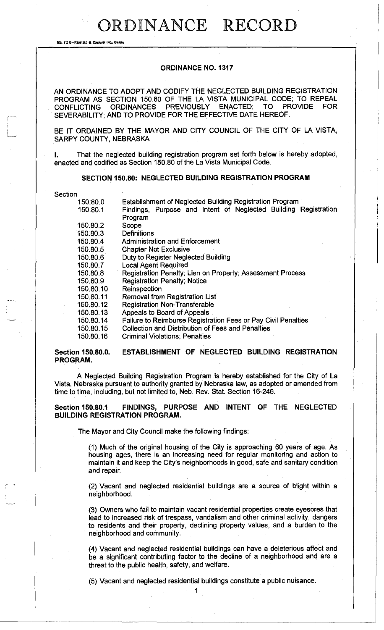No. 72 8-REDFIELD & COMPANY INC., O

## **ORDINANCE NO. 1317**

AN ORDINANCE TO ADOPT AND CODIFY THE NEGLECTED BUILDING REGISTRATION PROGRAM AS SECTION 150.80 OF THE LA VISTA MUNICIPAL CODE; TO REPEAL CONFLICTING ORDINANCES PREVIOUSLY ENACTED; TO PROVIDE FOR SEVERABILITY; AND TO PROVIDE FOR THE EFFECTIVE DATE HEREOF.

BE IT ORDAINED BY THE MAYOR AND CITY COUNCIL OF THE CITY OF LA VISTA, SARPY COUNTY, NEBRASKA

I. That the neglected building registration program set forth below is hereby adopted, enacted and codified as Section 150.80 of the La Vista Municipal Code.

## **SECTION 150.80: NEGLECTED BUILDING REGISTRATION PROGRAM**

Section

| 150.80.0  | Establishment of Neglected Building Registration Program        |
|-----------|-----------------------------------------------------------------|
| 150.80.1  | Findings, Purpose and Intent of Neglected Building Registration |
|           | Program                                                         |
| 150.80.2  | Scope                                                           |
| 150.80.3  | <b>Definitions</b>                                              |
| 150.80.4  | Administration and Enforcement                                  |
| 150.80.5  | <b>Chapter Not Exclusive</b>                                    |
| 150.80.6  | Duty to Register Neglected Building                             |
| 150.80.7  | <b>Local Agent Required</b>                                     |
| 150,80.8  | Registration Penalty; Lien on Property; Assessment Process      |
| 150.80.9  | <b>Registration Penalty; Notice</b>                             |
| 150.80.10 | Reinspection                                                    |
| 150.80.11 | Removal from Registration List                                  |
| 150.80.12 | <b>Registration Non-Transferable</b>                            |
| 150.80.13 | Appeals to Board of Appeals                                     |
| 150.80.14 | Failure to Reimburse Registration Fees or Pay Civil Penalties   |
| 150.80.15 | Collection and Distribution of Fees and Penalties               |
| 150.80.16 | <b>Criminal Violations; Penalties</b>                           |
|           |                                                                 |

# **Section 150.80.0. ESTABLISHMENT OF NEGLECTED BUILDING REGISTRATION PROGRAM.**

A Neglected Building Registration Program is hereby established for the City of La Vista, Nebraska pursuant to authority granted by Nebraska law, as adopted or amended from time to time, including, but not limited to, Neb. Rev. Stat. Section 16-246.

**Section 150.80.1 FINDINGS, PURPOSE AND INTENT OF THE NEGLECTED BUILDING REGISTRATION PROGRAM.** 

The Mayor and City Council make the following findings:

(1) Much of the original housing of the City is approaching 60 years of age. As housing ages, there is an increasing need for regular monitoring and action to maintain it and keep the City's neighborhoods in good, safe and sanitary condition and repair.

(2) Vacant and neglected residential buildings are a source of blight within a neighborhood.

(3) Owners who fail to maintain vacant residential properties create eyesores that lead to increased risk of trespass, vandalism and other criminal activity, dangers to residents and their property, declining property values, and a burden to the neighborhood and community.

(4) Vacant and neglected residential buildings can have a deleterious affect and be a significant contributing factor to the decline of a neighborhood and are a threat to the public health, safety, and welfare.

(5) Vacant and neglected residential buildings constitute a public nuisance.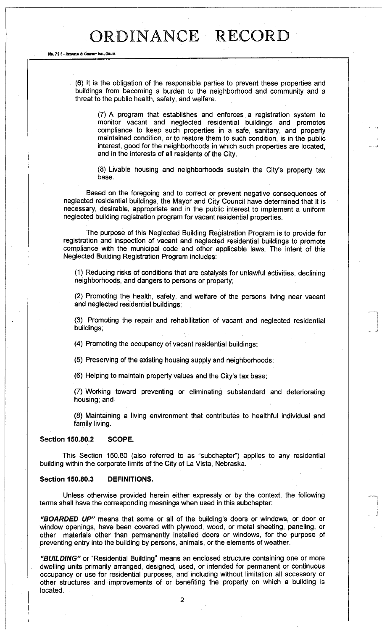#### No. 72 8-**R**EDFIELD ft **<sup>C</sup>** WMHT **I**NC., **O**MAHA

(6) It is the obligation of the responsible parties to prevent these properties and buildings from becoming a burden to the neighborhood and community and a threat to the public health, safety, and welfare.

(7) A program that establishes and enforces a registration system to monitor vacant and neglected residential buildings and promotes compliance to keep such properties in a safe, sanitary, and properly maintained condition, or to restore them to such condition, is in the public interest, good for the neighborhoods in which such properties are located, and in the interests of all residents of the City.

(8) Livable housing and neighborhoods sustain the City's property tax base.

Based on the foregoing and to correct or prevent negative consequences of neglected residential buildings, the Mayor and City Council have determined that it is necessary, desirable, appropriate and in the public interest to implement a uniform neglected building registration program for vacant residential properties.

The purpose of this Neglected Building Registration Program is to provide for registration and inspection of vacant and neglected residential buildings to promote compliance with the municipal code and other applicable laws. The intent of this Neglected Building Registration Program includes:

(1) Reducing risks of conditions that are catalysts for unlawful activities, declining neighborhoods, and dangers to persons or property;

(2) Promoting the health, safety, and welfare of the persons living near vacant and neglected residential buildings;

(3) Promoting the repair and rehabilitation of vacant and neglected residential buildings;

(4) Promoting the occupancy of vacant residential buildings;

(5) Preserving of the existing housing supply and neighborhoods;

(6) Helping to maintain property values and the City's tax base;

(7) Working toward preventing or eliminating substandard and deteriorating housing; and

(8) Maintaining a living environment that contributes to healthful individual and family living.

### **Section 150.80.2 SCOPE.**

This Section 150.80 (also referred to as "subchapter") applies to any residential building within the corporate limits of the City of La Vista, Nebraska.

### **Section 150.80.3 DEFINITIONS.**

Unless otherwise provided herein either expressly or by the context, the following terms shall have the corresponding meanings when used in this subchapter:

*"BOARDED UP"* means that some or all of the building's doors or windows, or door or window openings, have been covered with plywood, wood, or metal sheeting, paneling, or other materials other than permanently installed doors or windows, for the purpose of preventing entry into the building by persons, animals, or the elements of weather.

*"BUILDING"* or "Residential Building" means an enclosed structure containing one or more dwelling units primarily arranged, designed, used, or intended for permanent or continuous occupancy or use for residential purposes, and including without limitation all accessory or other structures and • improvements of or benefiting the property on which a building is located. -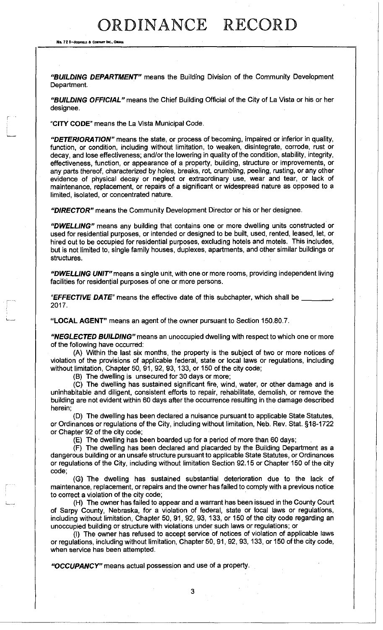No. 72 B-REDFIELD & COMPANY INC., OMAHA

*"BUILDING DEPARTMENT"* means the Buifding Division of the Community Development Department.

*"BUILDING OFFICIAL"* means the Chief Building Official of the City of La Vista or his or her designee.

**"CITY CODE"** means the La Vista Municipal Code.

*"DETERIORATION"* means the state, or process of becoming, impaired or inferior in quality, function, or condition, including without limitation, to weaken, disintegrate, corrode, rust or decay, and lose effectiveness; and/or the lowering in quality of the condition, stability, integrity, effectiveness, function, or appearance of a property, building, structure or improvements, or any parts thereof, characterized by holes, breaks, rot, crumbling, peeling, rusting, or any other evidence of physical decay or neglect or extraordinary use, wear and tear, or lack of maintenance, replacement, or repairs of a significant or widespread nature as opposed to a limited, isolated, or concentrated nature.

*"DIRECTOR"* means the Community Development Director or his or her designee.

*"DWELLING"* means any building that contains one or more dwelling units constructed or used for residential purposes, or intended or designed to be built, used, rented, leased, let, or hired out to be occupied for residential purposes, excluding hotels and motels. This includes, but is not limited to, single family houses, duplexes, apartments, and other similar buildings or structures.

*"DWELLING UNIT"* means a single unit, with one or more rooms, providing independent living facilities for residential purposes of one or more persons.

*"EFFECTIVE DATE"* means the effective date of this subchapter, which shall be , 2017.

**"LOCAL AGENT"** means an agent of the owner pursuant to Section 150.80.7.

*"NEGLECTED BUILDING"* means an unoccupied dwelling with respect to which one or more of the following have occurred:

(A) Within the last six months, the property is the subject of two or more notices of violation of the provisions of applicable federal, state or local laws or regulations, including without limitation, Chapter 50, 91, 92, 93, 133, or 150 of the city code;

(B) The dwelling is unsecured for 30 days or more;

(C) The dwelling has sustained significant fire, wind, water, or other damage and is uninhabitable and diligent, consistent efforts to repair, rehabilitate, demolish, or remove the building are not evident within 60 days after the occurrence resulting in the damage described herein;

(D) The dwelling has been declared a nuisance pursuant to applicable State Statutes, or Ordinances or regulations of the City, including without limitation, Neb. Rev. Stat. §18-1722 or Chapter 92 of the city code;

(E) The dwelling has been boarded up for a period of more than 60 days;

(F) The dwelling has been declared and placarded by the Building Department as a dangerous building or an unsafe structure pursuant to applicable State Statutes, or Ordinances or regulations of the City, including without limitation Section 92.15 or Chapter 150 of the city code;

(G) The dwelling has sustained substantial deterioration due to the lack of maintenance, replacement, or repairs and the owner has failed to comply with a previous notice to correct a violation of the city code;

(H) The owner has failed to appear and a warrant has been issued in the County Court of Sarpy County, Nebraska, for a violation of federal, state or local laws or regulations, including without limitation, Chapter 50, 91, 92, 93, 133, or 150 of the city code regarding an unoccupied building or structure with violations under such laws or regulations; or

(I) The owner has refused to accept service of notices of violation of applicable laws or regulations, including without limitation, Chapter 50, 91, 92, 93,133, or 150 of the city code, when service has been attempted.

*"OCCUPANCY"* means actual possession and use of a property.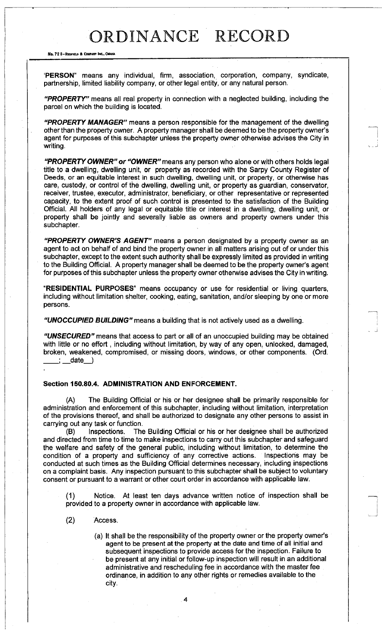#### No. 72 8-REDFIELD & COMPANY INC., OMAHA

PERSON" means any individual, firm, association, corporation, company, syndicate, partnership, limited liability company, or other legal entity, or any natural person.

*"PROPERTY"* means all real property in connection with a neglected building, including the parcel on which the building is located.

*"PROPERTY MANAGER"* means a person responsible for the management of the dwelling other than the property owner. A property manager shall be deemed to be the property owner's agent for purposes of this subchapter unless the property owner otherwise advises the City in writing.

*"PROPERTY OWNER" or "OWNER"* means any person who alone or with others holds legal title to a dwelling, dwelling unit, or property as recorded with the Sarpy County Register of Deeds, or an equitable interest in such dwelling, dwelling unit, or property, or otherwise has care, custody, or control of the dwelling, dwelling unit, or property as guardian, conservator, receiver, trustee, executor, administrator, beneficiary, or other representative or represented capacity, to the extent proof of such control is presented to the satisfaction of the Building Official. All holders of any legal or equitable title or interest in a dwelling, dwelling unit, or property shall be jointly and severally liable as owners and property owners under this subchapter.

*"PROPERTY OWNER'S AGENT"* means a person designated by a property owner as an agent to act on behalf of and bind the property owner in all matters arising out of or under this subchapter, except to the extent such authority shall be expressly limited as provided in writing to the Building Official. A property manager shall be deemed to be the property owner's agent for purposes of this subchapter unless the property owner otherwise advises the City in writing.

"RESIDENTIAL PURPOSES" means occupancy or use for residential or living quarters, including without limitation shelter, cooking, eating, sanitation, and/or sleeping by one or more persons.

*"UNOCCUPIED BUILDING"* means a building that is not actively used as a dwelling.

*"UNSECURED"* means that access to part or all of an unoccupied building may be obtained with little or no effort, including without limitation, by way of any open, unlocked, damaged, broken, weakened, compromised, or missing doors, windows, or other components. (Ord.  $\pm$  date  $\pm$  )

### **Section 150.80.4. ADMINISTRATION AND ENFORCEMENT.**

(A) The Building Official or his or her designee shall be primarily responsible for administration and enforcement of this subchapter, including without limitation, interpretation of the provisions thereof, and shall be authorized to designate any other persons to assist in carrying out any task or function.

(B) Inspections. The Building Official or his or her designee shall be authorized and directed from time to time to make inspections to carry out this subchapter and safeguard the welfare and safety of the general public, including without limitation, to determine the condition of a property and sufficiency of any corrective actions. Inspections may be conducted at such times as the Building Official determines necessary, including inspections on a complaint basis. Any inspection pursuant to this subchapter shall be subject to voluntary consent or pursuant to a warrant or other court order in accordance with applicable law.

(1) Notice. At least ten days advance written notice of inspection shall be provided to a property owner in accordance with applicable law.

(2) Access.

(a) It shall be the responsibility of the property owner or the property owner's agent to be present at the property at the date and time of all initial and subsequent inspections to provide access for the inspection. Failure to be present at any initial or follow-up inspection will result in an additional administrative and rescheduling fee in accordance with the master fee ordinance, in addition to any other rights or remedies available to the city.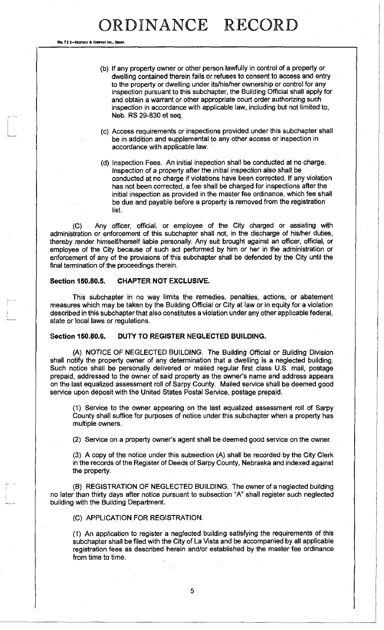No. 72 8-Reorieux a Co

- (b) If any property owner or other person lawfully in control of a property or dwelling contained therein fails or refuses to consent to access and entry to the property or dwelling under its/his/her ownership or control for any inspection pursuant to this subchapter, the Building Official shall apply for and obtain a warrant or other appropriate court order authorizing such inspection in accordance with applicable law, including but not limited to, Neb. RS 29-830 et seq.
- (c) Access requirements or inspections provided under this subchapter shall be in addition and supplemental to any other access or inspection in accordance with applicable law.
- (d) Inspection Fees. An initial inspection shall be conducted at no charge. Inspection of a property after the initial inspection also shall be conducted at no charge if violations have been corrected. If any violation has not been corrected, a fee shall be charged for inspections after the initial inspection as provided in the master fee ordinance, which fee shall be due and payable before a property is removed from the registration list.

(C) Any officer, official, or employee of the City charged or assisting with administration or enforcement of this subchapter shall not, in the discharge of his/her duties, thereby render himself/herself liable personally. Any suit brought against an officer, official, or employee of the City because of such act performed by him or her in the administration or enforcement of any of the provisions of this subchapter shall be defended by the City until the final termination of the proceedings therein.

## **Section 150.80.5. CHAPTER NOT EXCLUSIVE.**

This subchapter in no way limits the remedies, penalties, actions, or abatement measures which may be taken by the Building Official or City at law or in equity for a violation described in this subchapter that also constitutes a violation under any other applicable federal, state or local laws or regulations.

### **Section 150.80.6. DUTY TO REGISTER NEGLECTED BUILDING.**

(A) NOTICE OF NEGLECTED BUILDING. The Building Official or Building Division shall notify the property owner of any determination that a dwelling is a neglected building. Such notice shall be personally delivered or mailed regular first class U.S. mail, postage prepaid, addressed to the owner of said property as the owner's name and address appears on the last equalized assessment roll of Sarpy County. Mailed service shall be deemed good service upon deposit with the United States Postal Service, postage prepaid.

(1) Service to the owner appearing on the last equalized assessment roll of Sarpy County shall suffice for purposes of notice under this subchapter when a property has multiple owners.

(2) Service on a property owner's agent shall be deemed good service on the owner.

(3) A copy of the notice under this subsection (A) shall be recorded by the City Clerk in the records of the Register of Deeds of Sarpy County, Nebraska and indexed against the property.

(B) REGISTRATION OF NEGLECTED BUILDING. The owner of a neglected building no later than thirty days after notice pursuant to subsection "A" shall register such neglected building with the Building Department.

(C) APPLICATION FOR REGISTRATION.

(1) An application to register a neglected building satisfying the requirements of this subchapter shall be filed with the City of La Vista and be accompanied by all applicable registration fees as described herein and/or established by the master fee ordinance from time to time.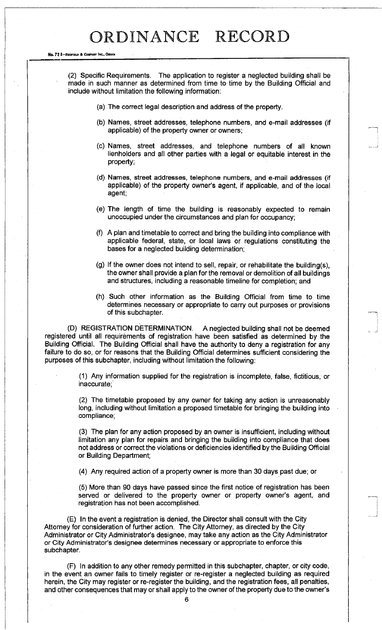#### No. 72 8-REDFIELD & COMPANY INC., OMAHA

(2) Specific Requirements. The application to register a neglected building shall be made in such manner as determined from time to time by the Building Official and include without limitation the following information:

- (a) The correct legal description and address of the property.
- (b) Names, street addresses, telephone numbers, and e-mail addresses (if applicable) of the property owner or owners;
- (c) Names, street addresses, and telephone numbers of all known lienholders and all other parties with a legal or equitable interest in the property;
- (d) Names, street addresses, telephone numbers, and e-mail addresses (if applicable) of the property owner's agent, if applicable, and of the local agent;
- (e) The length of time the building is reasonably expected to remain unoccupied under the circumstances and plan for occupancy;
- (f) A plan and timetable to correct and bring the building into compliance with applicable federal, state, or local laws or regulations constituting the bases for a neglected building determination;
- (g) If the owner does not intend to sell, repair, or rehabilitate the building(s), the owner shall provide a plan for the removal or demolition of all buildings and structures, including a reasonable timeline for completion; and
- (h) Such other information as the Building Official from time to time determines necessary or appropriate to carry out purposes or provisions of this subchapter.

(D) REGISTRATION DETERMINATION. A neglected building shall not be deemed registered until all requirements of registration have been satisfied as determined by the Building Official. The Building Official shall have the authority to deny a registration for any failure to do so, or for reasons that the Building Official determines sufficient considering the purposes of this subchapter, including without limitation the following:

> (1) Any information supplied for the registration is incomplete, false, fictitious, or inaccurate;

> (2) The timetable proposed by any owner for taking any action is unreasonably long, including without limitation a proposed timetable for bringing the building into compliance;

> (3) The plan for any action proposed by an owner is insufficient, including without limitation any plan for repairs and bringing the building into compliance that does not address or correct the violations or deficiencies identified by the Building Official or Building Department;

(4) Any required action of a property owner is more than 30 days past due; or

(5) More than 90 days have passed since the first notice of registration has been served or delivered to the property owner or property owner's agent, and registration has not been accomplished.

(E) In the event a registration is denied, the Director shall consult with the City Attorney for consideration of further action. The City Attorney, as directed by the City Administrator or City Administrator's designee, may take any action as the City Administrator or City Administrator's designee determines necessary or appropriate to enforce this subchapter.

(F) In addition to any other remedy permitted in this subchapter, chapter, or city code, in the event an owner fails to timely register or re-register a neglected building as required herein, the City may register or re-register the building, and the registration fees, all penalties, and other consequences that may or shall apply to the owner of the property due to the owner's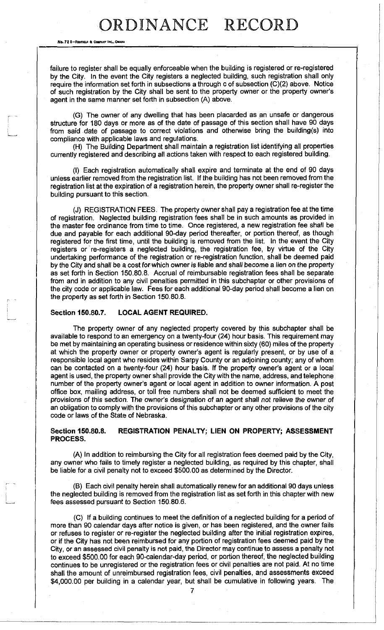No. 72 B-REDFIELD & COMPANY INC., OMAHA

failure to register shall be equally enforceable when the building is registered or re-registered by the City. In the event the City registers a neglected building, such registration shall only require the information set forth in subsections a through c of subsection (C)(2) above. Notice of such registration by the City shall be sent to the property owner or the property owner's agent in the same manner set forth in subsection (A) above.

(G) The owner of any dwelling that has been placarded as an unsafe or dangerous structure for 180 days or more as of the date of passage of this section shall have 90 days from said date of passage to correct violations and otherwise bring the building(s) into compliance with applicable laws and regulations.

(H) The Building Department shall maintain a registration list identifying all properties currently registered and describing all actions taken with respect to each registered building.

(I) Each registration automatically shall expire and terminate at the end of 90 days unless earlier removed from the registration list. If the building has not been removed from the registration list at the expiration of a registration herein, the property owner shall re-register the building pursuant to this section.

(J) REGISTRATION FEES. The property owner shall pay a registration fee at the time of registration. Neglected building registration fees shall be in such amounts as provided in the master fee ordinance from time to time. Once registered, a new registration fee shall be due and payable for each additional 90-day period thereafter, or portion thereof, as though registered for the first time, until the building is removed from the list. In the event the City registers or re-registers a neglected building, the registration fee, by virtue of the City undertaking performance of the registration or re-registration function, shall be deemed paid by the City and shall be a cost for which owner is liable and shall become a lien on the property as set forth in Section 150.80.8. Accrual of reimbursable registration fees shall be separate from and in addition to any civil penalties permitted in this subchapter or other provisions of the city code or applicable law. Fees for each additional 90-day period shall become a lien on the property as set forth in Section 150.80.8.

## **Section 150.80.7. LOCAL AGENT REQUIRED.**

The property owner of any neglected property covered by this subchapter shall be available to respond to an emergency on a twenty-four (24) hour basis. This requirement may be met by maintaining an operating business or residence within sixty (60) miles of the property at which the property owner or property owner's agent is regularly present, or by use of a responsible local agent who resides within Sarpy County or an adjoining county; any of whom can be contacted on a twenty-four (24) hour basis. If the property owner's agent or a local agent is used, the property owner shall provide the City with the name, address, and telephone number of the property owner's agent or local agent in addition to owner information. A post office box, mailing address, or toll free numbers shall not be deemed sufficient to meet the provisions of this section. The owner's designation of an agent shall not relieve the owner of an obligation to comply with the provisions of this subchapter or any other provisions of the city code or laws of the State of Nebraska.

## **Section 150.80.8. REGISTRATION PENALTY; LIEN ON PROPERTY; ASSESSMENT PROCESS.**

(A) In addition to reimbursing the City for all registration fees deemed paid by the City, any owner who fails to timely register a neglected building, as required by this chapter, shall be liable for a civil penalty not to exceed \$500.00 as determined by the Director.

(B) Each civil penalty herein shall automatically renew for an additional 90 days unless the neglected building is removed from the registration list as set forth in this chapter with new fees assessed pursuant to Section 150.80.6.

(C) If a building continues to meet the definition of a neglected building for a period of more than 90 calendar days after notice is given, or has been registered, and the owner fails or refuses to register or re-register the neglected building after the initial registration expires, or if the City has not been reimbursed for any portion of registration fees deemed paid by the City, or an assessed civil penalty is not paid, the Director may continue to assess a penalty not to exceed \$500.00 for each 90-calendar-day period, or portion thereof, the neglected building continues to be unregistered or the registration fees or civil penalties are not paid. At no time shall the amount of unreimbursed registration fees, civil penalties, and assessments exceed \$4,000.00 per building in a calendar year, but shall be cumulative in following years. The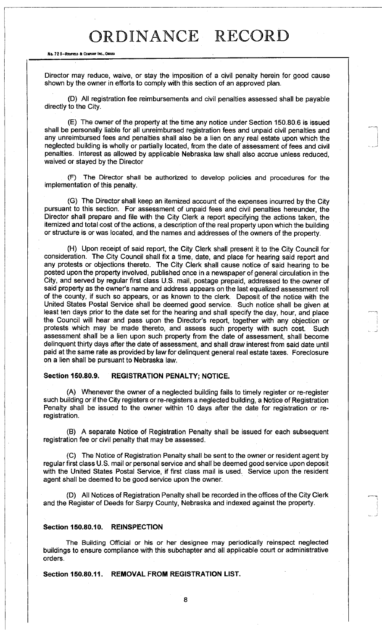#### No. 72 8-REDFIELD & COMPANY INC., OMANA

Director may reduce, waive, or stay the imposition of a civil penalty herein for good cause shown by the owner in efforts to comply with this section of an approved plan.

(D) All registration fee reimbursements and civil penalties assessed shall be payable directly to the City.

(E) The owner of the property at the time any notice under Section 150.80.6 is issued shall be personally liable for all unreimbursed registration fees and unpaid civil penalties and any unreimbursed fees and penalties shall also be a lien on any real estate upon which the neglected building is wholly or partially located, from the date of assessment of fees and civil penalties. Interest as allowed by applicable Nebraska law shall also accrue unless reduced, waived or stayed by the Director

(F) The Director shall be authorized to develop policies and procedures for the implementation of this penalty.

(G) The Director shall keep an itemized account of the expenses incurred by the City pursuant to this section. For assessment of unpaid fees and civil penalties hereunder, the Director shall prepare and file with the City Clerk a report specifying the actions taken, the itemized and total cost of the actions, a description of the real property upon which the building or structure is or was located, and the names and addresses of the owners of the property.

(H) Upon receipt of said report, the City Clerk shall present it to the City Council for consideration. The City Council shall fix a time, date, and place for hearing said report and any protests or objections thereto. The City Clerk shall cause notice of said hearing to be posted upon the property involved, published once in a newspaper of general circulation in the City, and served by regular first class U.S. mail, postage prepaid, addressed to the owner of said property as the owner's name and address appears on the last equalized assessment roll of the county, if such so appears, or as known to the clerk. Deposit of the notice with the United States Postal Service shall be deemed good service. Such notice shall be given at least ten days prior to the date set for the hearing and shall specify the day, hour, and place the Council will hear and pass upon the Director's report, together with any objection or protests which may be made thereto, and assess such property with such cost. Such assessment shall be a lien upon such property from the date of assessment, shall become delinquent thirty days after the date of assessment, and shall draw interest from said date until paid at the same rate as provided by law for delinquent general real estate taxes. Foreclosure on a lien shall be pursuant to Nebraska law.

### **Section 150.80.9. REGISTRATION PENALTY; NOTICE.**

(A) Whenever the owner of a neglected building fails to timely register or re-register such building or if the City registers or re-registers a neglected building, a Notice of Registration Penalty shall be issued to the owner within 10 days after the date for registration or reregistration.

(B) A separate Notice of Registration Penalty shall be issued for each subsequent registration fee or civil penalty that may be assessed.

(C) The Notice of Registration Penalty shall be sent to the owner or resident agent by regular first class U.S. mail or personal service and shall be deemed good service upon deposit with the United States Postal Service, if first class mail is used. Service upon the resident agent shall be deemed to be good service upon the owner.

(D) All Notices of Registration Penalty shall be recorded in the offices of the City Clerk and the Register of Deeds for Sarpy County, Nebraska and indexed against the property.

### **Section 150.80.10. REINSPECTION**

The Building Official or his or her designee may periodically reinspect neglected buildings to ensure compliance with this subchapter and all applicable court or administrative orders.

**Section 150.80.11. REMOVAL FROM REGISTRATION LIST.**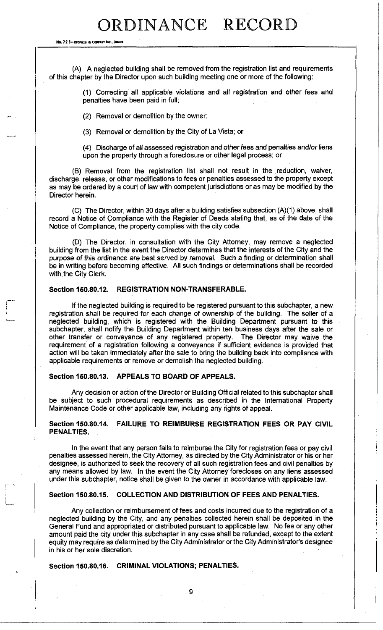No. 72 8-REONNE » COMPANY INC.. OMAHA

(A) A neglected building shall be removed from the registration list and requirements of this chapter by the Director upon such building meeting one or more of the following:

> (1) Correcting all applicable violations and all registration and other fees and penalties have been paid in full;

(2) Removal or demolition by the owner;

(3) Removal or demolition by the City of La Vista; or

(4) Discharge of all assessed registration and other fees and penalties *and/or* liens upon the property through a foreclosure or other legal process; or

(B) Removal from the registration list shall not result in the reduction, waiver, discharge, release, or other modifications to fees or penalties assessed to the property except as may be ordered by a court of law with competent jurisdictions or as may be modified by the Director herein.

(C) The Director, within 30 days after a building satisfies subsection (A)(1) above, shall record a Notice of Compliance with the Register of Deeds stating that, as of the date of the Notice of Compliance, the property complies with the city code.

(D) The Director, in consultation with the City Attorney, may remove a neglected building from the list in the event the Director determines that the interests of the City and the purpose of this ordinance are best served by removal. Such a finding or determination shall be in writing before becoming effective. All such findings or determinations shall be recorded with the City Clerk.

## **Section 150.80.12. REGISTRATION NON-TRANSFERABLE.**

If the neglected building is required to be registered pursuant to this subchapter, a new registration shall be required for each change of ownership of the building. The seller of a neglected building, which is registered with the Building Department pursuant to this subchapter, shall notify the Building Department within ten business days after the sale or other transfer or conveyance of any registered property. The Director may waive the requirement of a registration following a conveyance if sufficient evidence is provided that action will be taken immediately after the sale to bring the building back into compliance with applicable requirements or remove or demolish the neglected building.

## **Section 150.80.13. APPEALS TO BOARD OF APPEALS.**

Any decision or action of the Director or Building Official related to this subchapter shall be subject to such procedural requirements as described in the International Property Maintenance Code or other applicable law, including any rights of appeal.

## **Section 150.80.14. FAILURE TO REIMBURSE REGISTRATION FEES OR PAY CIVIL PENALTIES.**

In the event that any person fails to reimburse the City for registration fees or pay civil penalties assessed herein, the City Attorney, as directed by the City Administrator or his or her designee, is authorized to seek the recovery of all such registration fees and civil penalties by any means allowed by law. In the event the City Attorney forecloses on any liens assessed under this subchapter, notice shall be given to the owner in accordance with applicable law.

### **Section 150.80.15. COLLECTION AND DISTRIBUTION OF FEES AND PENALTIES.**

Any collection or reimbursement of fees and costs incurred due to the registration of a neglected building by the City, and any penalties collected herein shall be deposited in the General Fund and appropriated or distributed pursuant to applicable law. No fee or any other amount paid the city under this subchapter in any case shall be refunded, except to the extent equity may require as determined by the City Administrator or the City Administrator's designee in his or her sole discretion.

# **Section 150.80.16. CRIMINAL VIOLATIONS; PENALTIES.**